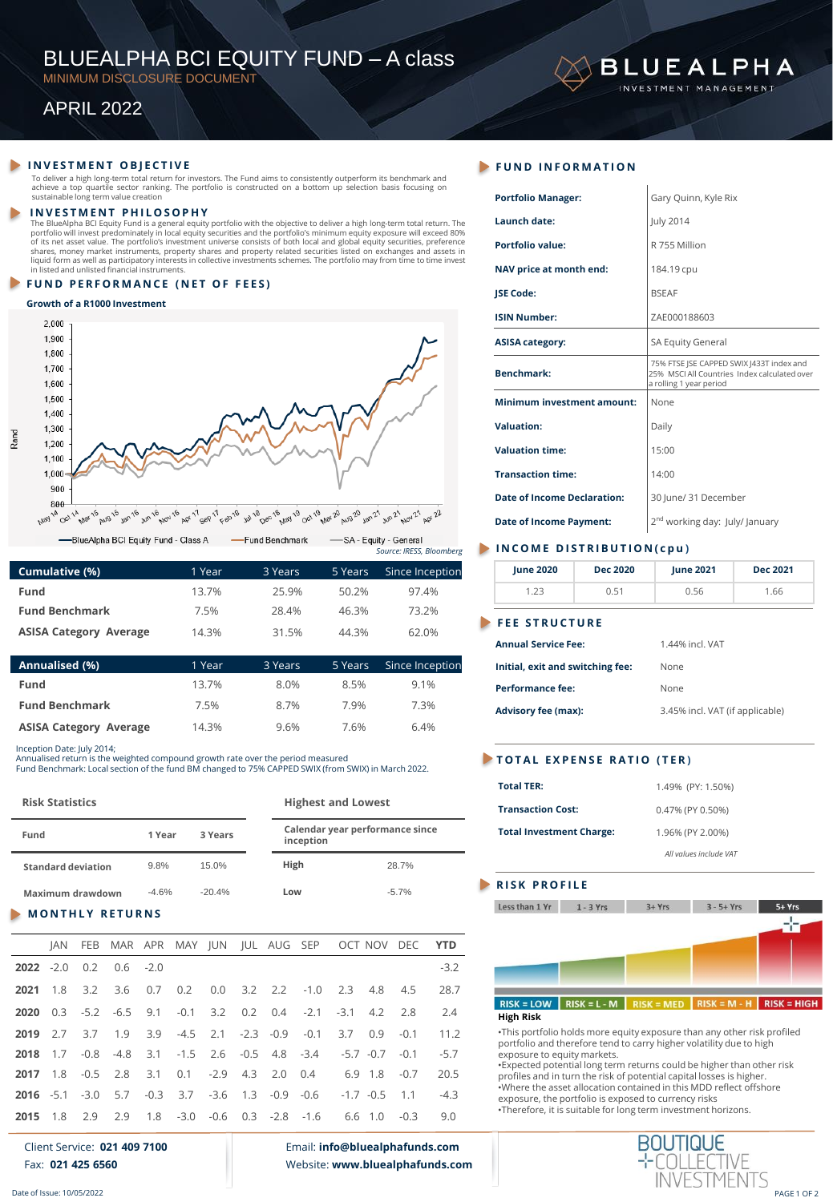# BLUEALPHA BCI EQUITY FUND – A class

MINIMUM DISCLOSURE DOCUMENT

# APRIL 2022

# **INVESTMENT OBJECTIVE**

To deliver a high long-term total return for investors. The Fund aims to consistently outperform its benchmark and<br>achieve a top quartile sector ranking. The portfolio is constructed on a bottom up selection basis focusing

### **I N V E S T M E N T P H I L O S O P H Y**

The BlueAlpha BCl Equity Fund is a general equity portfolio with the objective to deliver a high long-term total return. The<br>portfolio will invest predominately in local equity pecurities and the portfolio's minimum equity in listed and unlisted financial instruments.

# **FUND PERFORMANCE (NET OF FEES)**

### **Growth of a R1000 Investment**

Rand



| Cumulative (%)                | 1 Year | 3 Years | 5 Years | Since Inception |
|-------------------------------|--------|---------|---------|-----------------|
| Fund                          | 13.7%  | 25.9%   | 50.2%   | 97.4%           |
| <b>Fund Benchmark</b>         | 7.5%   | 28.4%   | 46.3%   | 73.2%           |
| <b>ASISA Category Average</b> | 14.3%  | 31.5%   | 44.3%   | 62.0%           |
|                               |        |         |         |                 |

| Annualised (%)                | 1 Year | 3 Years | 5 Years | Since Inception |
|-------------------------------|--------|---------|---------|-----------------|
| Fund                          | 13.7%  | 8.0%    | 8.5%    | $9.1\%$         |
| <b>Fund Benchmark</b>         | 7.5%   | 8.7%    | 7.9%    | 7.3%            |
| <b>ASISA Category Average</b> | 14.3%  | 9.6%    | 7.6%    | 6.4%            |

Inception Date: July 2014;

Annualised return is the weighted compound growth rate over the period measured Fund Benchmark: Local section of the fund BM changed to 75% CAPPED SWIX (from SWIX) in March 2022.

| <b>Risk Statistics</b>    |         | <b>Highest and Lowest</b> |                                              |         |  |
|---------------------------|---------|---------------------------|----------------------------------------------|---------|--|
| Fund<br>3 Years<br>1 Year |         |                           | Calendar year performance since<br>inception |         |  |
| <b>Standard deviation</b> | 9.8%    | 15.0%                     | High                                         | 28.7%   |  |
| Maximum drawdown          | $-4.6%$ | $-20.4%$                  | Low                                          | $-5.7%$ |  |

# **MONTHLY RETURNS**

|  |                                   |  |  | JAN FEB MAR APR MAY JUN JUL AUG SEP OCT NOV DEC YTD                 |  |        |
|--|-----------------------------------|--|--|---------------------------------------------------------------------|--|--------|
|  | <b>2022</b> $-2.0$ 0.2 0.6 $-2.0$ |  |  |                                                                     |  | $-3.2$ |
|  |                                   |  |  | <b>2021</b> 1.8 3.2 3.6 0.7 0.2 0.0 3.2 2.2 -1.0 2.3 4.8 4.5        |  | 28.7   |
|  |                                   |  |  | 2020 0.3 -5.2 -6.5 9.1 -0.1 3.2 0.2 0.4 -2.1 -3.1 4.2 2.8           |  | 2.4    |
|  |                                   |  |  | 2019 2.7 3.7 1.9 3.9 -4.5 2.1 -2.3 -0.9 -0.1 3.7 0.9 -0.1           |  | 11.2   |
|  |                                   |  |  | 2018 1.7 -0.8 -4.8 3.1 -1.5 2.6 -0.5 4.8 -3.4 -5.7 -0.7 -0.1        |  | $-5.7$ |
|  |                                   |  |  | 2017 1.8 -0.5 2.8 3.1 0.1 -2.9 4.3 2.0 0.4 6.9 1.8 -0.7             |  | 20.5   |
|  |                                   |  |  | <b>2016</b> -5.1 -3.0 5.7 -0.3 3.7 -3.6 1.3 -0.9 -0.6 -1.7 -0.5 1.1 |  | $-4.3$ |
|  |                                   |  |  | <b>2015</b> 1.8 2.9 2.9 1.8 -3.0 -0.6 0.3 -2.8 -1.6 6.6 1.0 -0.3    |  | 9.0    |

Client Service: **021 409 7100** Fax: **021 425 6560**

Email: **info@bluealphafunds.com** Website: **www.bluealphafunds.com**

| <b>Portfolio Manager:</b>          | Gary Quinn, Kyle Rix                                                                                              |
|------------------------------------|-------------------------------------------------------------------------------------------------------------------|
| <b>Launch date:</b>                | July 2014                                                                                                         |
| Portfolio value:                   | R 755 Million                                                                                                     |
| NAV price at month end:            | 184.19 cpu                                                                                                        |
| <b>JSE Code:</b>                   | <b>BSEAF</b>                                                                                                      |
| <b>ISIN Number:</b>                | ZAE000188603                                                                                                      |
| <b>ASISA category:</b>             | SA Equity General                                                                                                 |
| <b>Benchmark:</b>                  | 75% FTSE JSE CAPPED SWIX J433T index and<br>25% MSCLAILCountries Index calculated over<br>a rolling 1 year period |
| <b>Minimum investment amount:</b>  | None                                                                                                              |
| Valuation:                         | Daily                                                                                                             |
| <b>Valuation time:</b>             | 15:00                                                                                                             |
| <b>Transaction time:</b>           | 14:00                                                                                                             |
| <b>Date of Income Declaration:</b> | 30 June/ 31 December                                                                                              |
| <b>Date of Income Payment:</b>     | 2 <sup>nd</sup> working day: July/ January                                                                        |
|                                    |                                                                                                                   |

**BLUEALPHA** INVESTMENT MANAGEMENT

# *Source: IRESS, Bloomberg* **I N C O M E D I S T R I B U T I O N ( c p u )**

| <b>June 2020</b>                 | Dec 2020 | June 2021                       | Dec 2021 |  |  |  |
|----------------------------------|----------|---------------------------------|----------|--|--|--|
| 1.23                             | 0.51     | 0.56<br>1.66                    |          |  |  |  |
| <b>FEE STRUCTURE</b>             |          |                                 |          |  |  |  |
| <b>Annual Service Fee:</b>       |          | 1 44% incl VAT                  |          |  |  |  |
| Initial, exit and switching fee: |          | None                            |          |  |  |  |
| Performance fee:                 |          | None                            |          |  |  |  |
| <b>Advisory fee (max):</b>       |          | 3.45% incl. VAT (if applicable) |          |  |  |  |

# **T O T A L E X P E N S E R A T I O ( T E R )**

| <b>Total TER:</b>               | 1.49% (PY: 1.50%)      |
|---------------------------------|------------------------|
| <b>Transaction Cost:</b>        | 0.47% (PY 0.50%)       |
| <b>Total Investment Charge:</b> | 1.96% (PY 2.00%)       |
|                                 | All values include VAT |

### **RISK PROFILE**



•This portfolio holds more equity exposure than any other risk profiled portfolio and therefore tend to carry higher volatility due to high exposure to equity markets.

•Expected potential long term returns could be higher than other risk profiles and in turn the risk of potential capital losses is higher. •Where the asset allocation contained in this MDD reflect offshore exposure, the portfolio is exposed to currency risks •Therefore, it is suitable for long term investment horizons.